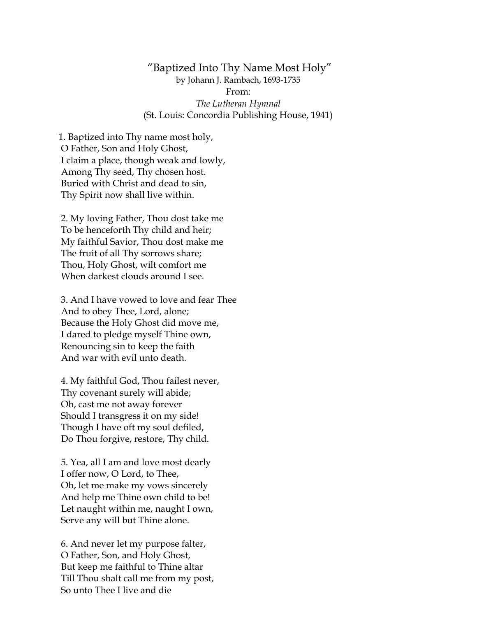## "Baptized Into Thy Name Most Holy" by Johann J. Rambach, 1693-1735 From: *The Lutheran Hymnal* (St. Louis: Concordia Publishing House, 1941)

1. Baptized into Thy name most holy, O Father, Son and Holy Ghost, I claim a place, though weak and lowly, Among Thy seed, Thy chosen host. Buried with Christ and dead to sin, Thy Spirit now shall live within.

2. My loving Father, Thou dost take me To be henceforth Thy child and heir; My faithful Savior, Thou dost make me The fruit of all Thy sorrows share; Thou, Holy Ghost, wilt comfort me When darkest clouds around I see.

3. And I have vowed to love and fear Thee And to obey Thee, Lord, alone; Because the Holy Ghost did move me, I dared to pledge myself Thine own, Renouncing sin to keep the faith And war with evil unto death.

4. My faithful God, Thou failest never, Thy covenant surely will abide; Oh, cast me not away forever Should I transgress it on my side! Though I have oft my soul defiled, Do Thou forgive, restore, Thy child.

5. Yea, all I am and love most dearly I offer now, O Lord, to Thee, Oh, let me make my vows sincerely And help me Thine own child to be! Let naught within me, naught I own, Serve any will but Thine alone.

6. And never let my purpose falter, O Father, Son, and Holy Ghost, But keep me faithful to Thine altar Till Thou shalt call me from my post, So unto Thee I live and die